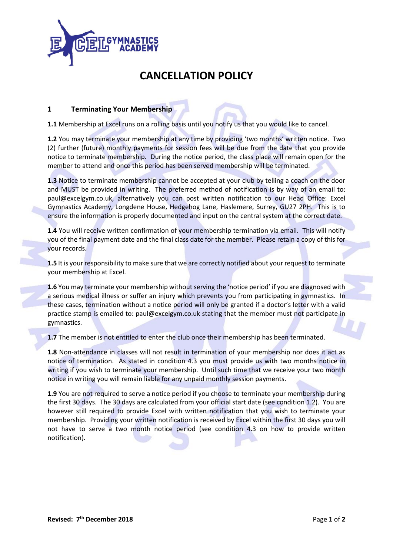

## **CANCELLATION POLICY**

## **1 Terminating Your Membership**

**1.1** Membership at Excel runs on a rolling basis until you notify us that you would like to cancel.

**1.2** You may terminate your membership at any time by providing 'two months' written notice. Two (2) further (future) monthly payments for session fees will be due from the date that you provide notice to terminate membership. During the notice period, the class place will remain open for the member to attend and once this period has been served membership will be terminated.

**1.3** Notice to terminate membership cannot be accepted at your club by telling a coach on the door and MUST be provided in writing. The preferred method of notification is by way of an email to: paul@excelgym.co.uk, alternatively you can post written notification to our Head Office: Excel Gymnastics Academy, Longdene House, Hedgehog Lane, Haslemere, Surrey, GU27 2PH. This is to ensure the information is properly documented and input on the central system at the correct date.

**1.4** You will receive written confirmation of your membership termination via email. This will notify you of the final payment date and the final class date for the member. Please retain a copy of this for your records.

**1.5** It is your responsibility to make sure that we are correctly notified about your request to terminate your membership at Excel.

**1.6** You may terminate your membership without serving the 'notice period' if you are diagnosed with a serious medical illness or suffer an injury which prevents you from participating in gymnastics. In these cases, termination without a notice period will only be granted if a doctor's letter with a valid practice stamp is emailed to: paul@excelgym.co.uk stating that the member must not participate in gymnastics.

**1.7** The member is not entitled to enter the club once their membership has been terminated.

**1.8** Non-attendance in classes will not result in termination of your membership nor does it act as notice of termination. As stated in condition 4.3 you must provide us with two months notice in writing if you wish to terminate your membership. Until such time that we receive your two month notice in writing you will remain liable for any unpaid monthly session payments.

**1.9** You are not required to serve a notice period if you choose to terminate your membership during the first 30 days. The 30 days are calculated from your official start date (see condition 1.2). You are however still required to provide Excel with written notification that you wish to terminate your membership. Providing your written notification is received by Excel within the first 30 days you will not have to serve a two month notice period (see condition 4.3 on how to provide written notification).